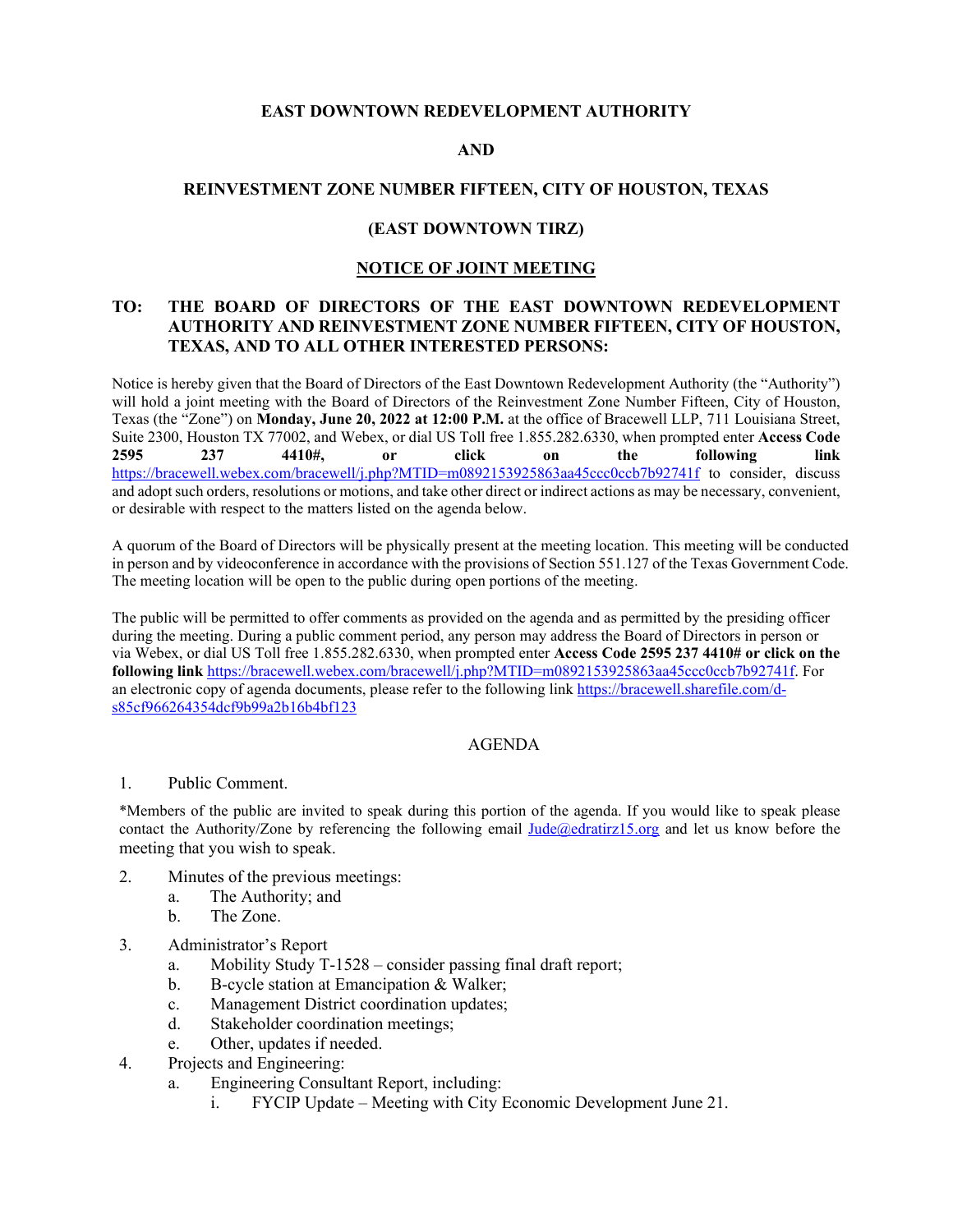# **EAST DOWNTOWN REDEVELOPMENT AUTHORITY**

## **AND**

## **REINVESTMENT ZONE NUMBER FIFTEEN, CITY OF HOUSTON, TEXAS**

### **(EAST DOWNTOWN TIRZ)**

## **NOTICE OF JOINT MEETING**

# **TO: THE BOARD OF DIRECTORS OF THE EAST DOWNTOWN REDEVELOPMENT AUTHORITY AND REINVESTMENT ZONE NUMBER FIFTEEN, CITY OF HOUSTON, TEXAS, AND TO ALL OTHER INTERESTED PERSONS:**

Notice is hereby given that the Board of Directors of the East Downtown Redevelopment Authority (the "Authority") will hold a joint meeting with the Board of Directors of the Reinvestment Zone Number Fifteen, City of Houston, Texas (the "Zone") on **Monday, June 20, 2022 at 12:00 P.M.** at the office of Bracewell LLP, 711 Louisiana Street, Suite 2300, Houston TX 77002, and Webex, or dial US Toll free 1.855.282.6330, when prompted enter **Access Code 2595 237 4410#, or click on the following link** <https://bracewell.webex.com/bracewell/j.php?MTID=m0892153925863aa45ccc0ccb7b92741f> to consider, discuss and adopt such orders, resolutions or motions, and take other direct or indirect actions as may be necessary, convenient, or desirable with respect to the matters listed on the agenda below.

A quorum of the Board of Directors will be physically present at the meeting location. This meeting will be conducted in person and by videoconference in accordance with the provisions of Section 551.127 of the Texas Government Code. The meeting location will be open to the public during open portions of the meeting.

The public will be permitted to offer comments as provided on the agenda and as permitted by the presiding officer during the meeting. During a public comment period, any person may address the Board of Directors in person or via Webex, or dial US Toll free 1.855.282.6330, when prompted enter **Access Code 2595 237 4410# or click on the following link** [https://bracewell.webex.com/bracewell/j.php?MTID=m0892153925863aa45ccc0ccb7b92741f.](https://bracewell.webex.com/bracewell/j.php?MTID=m0892153925863aa45ccc0ccb7b92741f) For an electronic copy of agenda documents, please refer to the following link [https://bracewell.sharefile.com/d](https://bracewell.sharefile.com/d-s85cf966264354dcf9b99a2b16b4bf123)[s85cf966264354dcf9b99a2b16b4bf123](https://bracewell.sharefile.com/d-s85cf966264354dcf9b99a2b16b4bf123)

# AGENDA

### 1. Public Comment.

\*Members of the public are invited to speak during this portion of the agenda. If you would like to speak please contact the Authority/Zone by referencing the following email [Jude@edratirz15.org](mailto:Jude@edratirz15.org) and let us know before the meeting that you wish to speak.

- 2. Minutes of the previous meetings:
	- a. The Authority; and
	- b. The Zone.
- 3. Administrator's Report
	- a. Mobility Study T-1528 consider passing final draft report;
	- b. B-cycle station at Emancipation & Walker;
	- c. Management District coordination updates;
	- d. Stakeholder coordination meetings;
	- e. Other, updates if needed.
- 4. Projects and Engineering:
	- a. Engineering Consultant Report, including:
		- i. FYCIP Update Meeting with City Economic Development June 21.